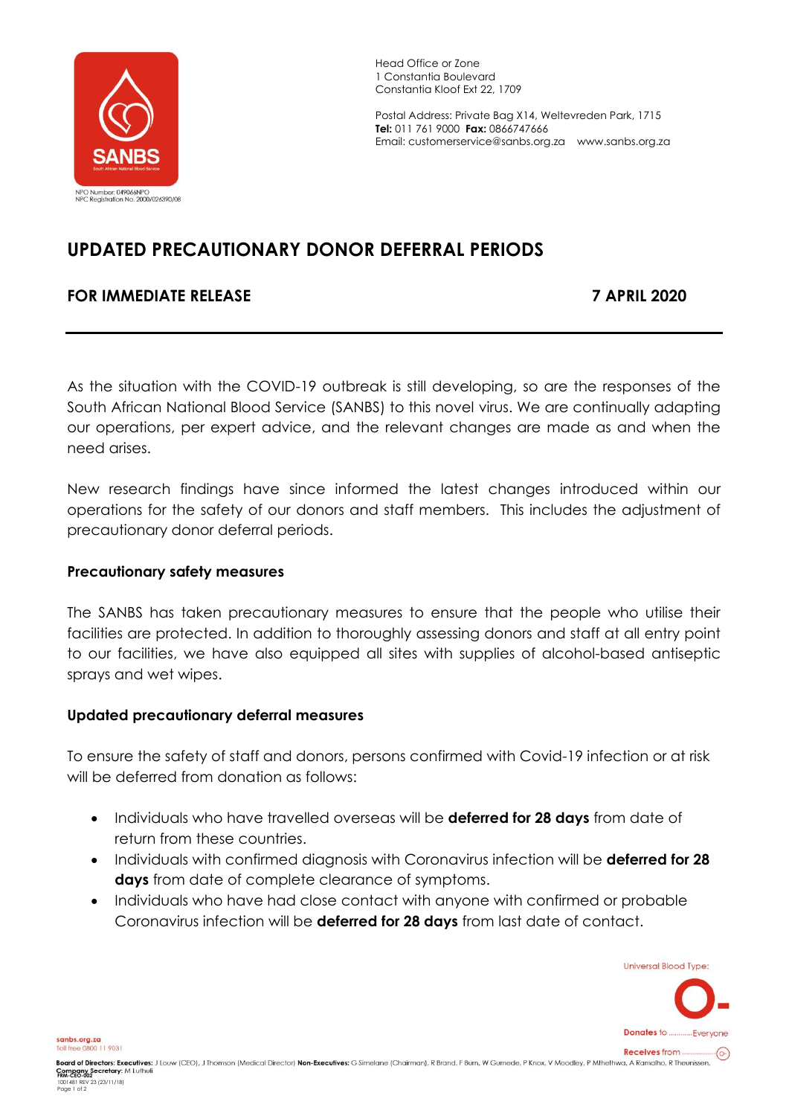

Head Office or Zone 1 Constantia Boulevard Constantia Kloof Ext 22, 1709

Postal Address: Private Bag X14, Weltevreden Park, 1715 **Tel:** 011 761 9000 **Fax:** 0866747666 Email: customerservice@sanbs.org.za www.sanbs.org.za

# **UPDATED PRECAUTIONARY DONOR DEFERRAL PERIODS**

## **FOR IMMEDIATE RELEASE 7 APRIL 2020**

As the situation with the COVID-19 outbreak is still developing, so are the responses of the South African National Blood Service (SANBS) to this novel virus. We are continually adapting our operations, per expert advice, and the relevant changes are made as and when the need arises.

New research findings have since informed the latest changes introduced within our operations for the safety of our donors and staff members. This includes the adjustment of precautionary donor deferral periods.

#### **Precautionary safety measures**

The SANBS has taken precautionary measures to ensure that the people who utilise their facilities are protected. In addition to thoroughly assessing donors and staff at all entry point to our facilities, we have also equipped all sites with supplies of alcohol-based antiseptic sprays and wet wipes.

#### **Updated precautionary deferral measures**

To ensure the safety of staff and donors, persons confirmed with Covid-19 infection or at risk will be deferred from donation as follows:

- Individuals who have travelled overseas will be **deferred for 28 days** from date of return from these countries.
- Individuals with confirmed diagnosis with Coronavirus infection will be **deferred for 28 days** from date of complete clearance of symptoms.
- Individuals who have had close contact with anyone with confirmed or probable Coronavirus infection will be **deferred for 28 days** from last date of contact.

**Universal Blood Type:** 



sanbs.org.za Toll free 0800 11 9031